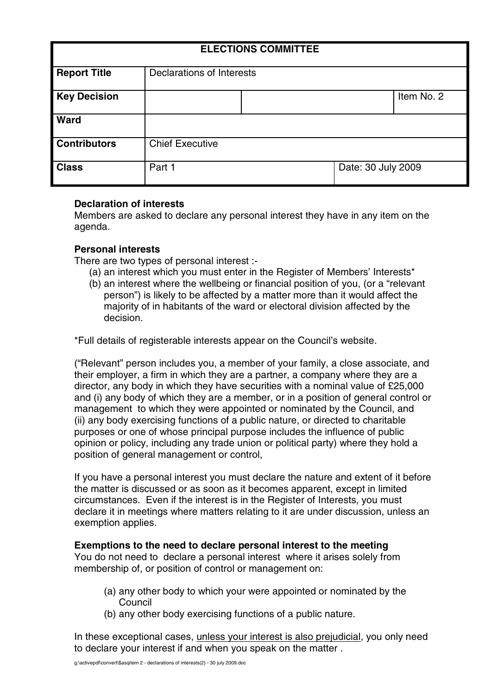| <b>ELECTIONS COMMITTEE</b> |                           |  |                    |            |
|----------------------------|---------------------------|--|--------------------|------------|
| <b>Report Title</b>        | Declarations of Interests |  |                    |            |
| <b>Key Decision</b>        |                           |  |                    | Item No. 2 |
| <b>Ward</b>                |                           |  |                    |            |
| <b>Contributors</b>        | <b>Chief Executive</b>    |  |                    |            |
| <b>Class</b>               | Part 1                    |  | Date: 30 July 2009 |            |

## **Declaration of interests**

Members are asked to declare any personal interest they have in any item on the agenda.

# **Personal interests**

There are two types of personal interest :-

- (a) an interest which you must enter in the Register of Members' Interests\*
- (b) an interest where the wellbeing or financial position of you, (or a "relevant person") is likely to be affected by a matter more than it would affect the majority of in habitants of the ward or electoral division affected by the decision.

\*Full details of registerable interests appear on the Council's website.

("Relevant" person includes you, a member of your family, a close associate, and their employer, a firm in which they are a partner, a company where they are a director, any body in which they have securities with a nominal value of £25,000 and (i) any body of which they are a member, or in a position of general control or management to which they were appointed or nominated by the Council, and (ii) any body exercising functions of a public nature, or directed to charitable purposes or one of whose principal purpose includes the influence of public opinion or policy, including any trade union or political party) where they hold a position of general management or control,

If you have a personal interest you must declare the nature and extent of it before the matter is discussed or as soon as it becomes apparent, except in limited circumstances. Even if the interest is in the Register of Interests, you must declare it in meetings where matters relating to it are under discussion, unless an exemption applies.

## **Exemptions to the need to declare personal interest to the meeting**

You do not need to declare a personal interest where it arises solely from membership of, or position of control or management on:

- (a) any other body to which your were appointed or nominated by the Council
- (b) any other body exercising functions of a public nature.

In these exceptional cases, unless your interest is also prejudicial, you only need to declare your interest if and when you speak on the matter .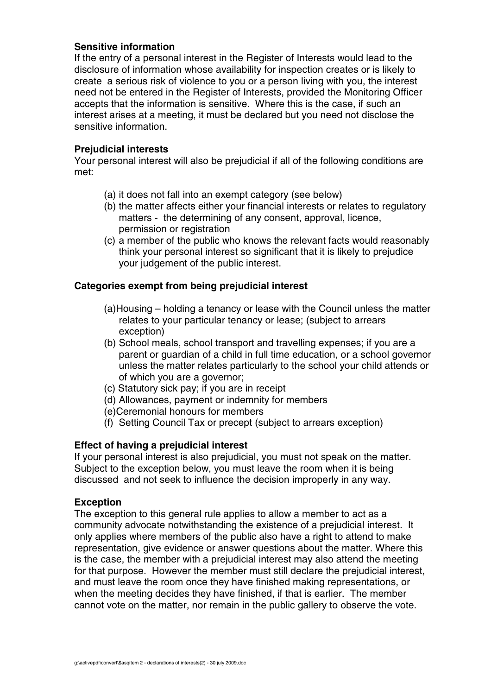## **Sensitive information**

If the entry of a personal interest in the Register of Interests would lead to the disclosure of information whose availability for inspection creates or is likely to create a serious risk of violence to you or a person living with you, the interest need not be entered in the Register of Interests, provided the Monitoring Officer accepts that the information is sensitive. Where this is the case, if such an interest arises at a meeting, it must be declared but you need not disclose the sensitive information.

### **Prejudicial interests**

Your personal interest will also be prejudicial if all of the following conditions are met:

- (a) it does not fall into an exempt category (see below)
- (b) the matter affects either your financial interests or relates to regulatory matters - the determining of any consent, approval, licence, permission or registration
- (c) a member of the public who knows the relevant facts would reasonably think your personal interest so significant that it is likely to prejudice your judgement of the public interest.

## **Categories exempt from being prejudicial interest**

- (a)Housing holding a tenancy or lease with the Council unless the matter relates to your particular tenancy or lease; (subject to arrears exception)
- (b) School meals, school transport and travelling expenses; if you are a parent or guardian of a child in full time education, or a school governor unless the matter relates particularly to the school your child attends or of which you are a governor;
- (c) Statutory sick pay; if you are in receipt
- (d) Allowances, payment or indemnity for members
- (e)Ceremonial honours for members
- (f) Setting Council Tax or precept (subject to arrears exception)

## **Effect of having a prejudicial interest**

If your personal interest is also prejudicial, you must not speak on the matter. Subject to the exception below, you must leave the room when it is being discussed and not seek to influence the decision improperly in any way.

#### **Exception**

The exception to this general rule applies to allow a member to act as a community advocate notwithstanding the existence of a prejudicial interest. It only applies where members of the public also have a right to attend to make representation, give evidence or answer questions about the matter. Where this is the case, the member with a prejudicial interest may also attend the meeting for that purpose. However the member must still declare the prejudicial interest, and must leave the room once they have finished making representations, or when the meeting decides they have finished, if that is earlier. The member cannot vote on the matter, nor remain in the public gallery to observe the vote.